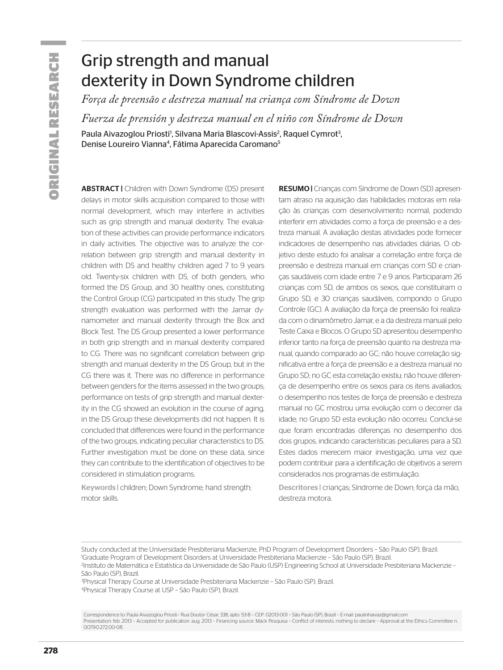# Grip strength and manual dexterity in Down Syndrome children

*Força de preensão e destreza manual na criança com Síndrome de Down*

*Fuerza de prensión y destreza manual en el niño con Síndrome de Down*

Paula Aivazoglou Priosti<sup>i</sup>, Silvana Maria Blascovi-Assis<sup>2</sup>, Raquel Cymrot<sup>3</sup> , Denise Loureiro Vianna<sup>4</sup>, Fátima Aparecida Caromano<sup>5</sup>

ABSTRACT | Children with Down Syndrome (DS) present delays in motor skills acquisition compared to those with normal development, which may interfere in activities such as grip strength and manual dexterity. The evaluation of these activities can provide performance indicators in daily activities. The objective was to analyze the correlation between grip strength and manual dexterity in children with DS and healthy children aged 7 to 9 years old. Twenty-six children with DS, of both genders, who formed the DS Group, and 30 healthy ones, constituting the Control Group (CG) participated in this study. The grip strength evaluation was performed with the Jamar dynamometer and manual dexterity through the Box and Block Test. The DS Group presented a lower performance in both grip strength and in manual dexterity compared to CG. There was no significant correlation between grip strength and manual dexterity in the DS Group, but in the CG there was it. There was no difference in performance between genders for the items assessed in the two groups; performance on tests of grip strength and manual dexterity in the CG showed an evolution in the course of aging, in the DS Group these developments did not happen. It is concluded that differences were found in the performance of the two groups, indicating peculiar characteristics to DS. Further investigation must be done on these data, since they can contribute to the identification of objectives to be considered in stimulation programs.

Keywords | children; Down Syndrome; hand strength; motor skills.

RESUMO | Crianças com Síndrome de Down (SD) apresentam atraso na aquisição das habilidades motoras em relação às crianças com desenvolvimento normal, podendo interferir em atividades como a força de preensão e a destreza manual. A avaliação destas atividades pode fornecer indicadores de desempenho nas atividades diárias. O objetivo deste estudo foi analisar a correlação entre força de preensão e destreza manual em crianças com SD e crianças saudáveis com idade entre 7 e 9 anos. Participaram 26 crianças com SD, de ambos os sexos, que constituíram o Grupo SD, e 30 crianças saudáveis, compondo o Grupo Controle (GC). A avaliação da força de preensão foi realizada com o dinamômetro Jamar, e a da destreza manual pelo Teste Caixa e Blocos. O Grupo SD apresentou desempenho inferior tanto na força de preensão quanto na destreza manual, quando comparado ao GC; não houve correlação significativa entre a força de preensão e a destreza manual no Grupo SD; no GC esta correlação existiu; não houve diferença de desempenho entre os sexos para os itens avaliados; o desempenho nos testes de força de preensão e destreza manual no GC mostrou uma evolução com o decorrer da idade; no Grupo SD esta evolução não ocorreu. Conclui-se que foram encontradas diferenças no desempenho dos dois grupos, indicando características peculiares para a SD. Estes dados merecem maior investigação, uma vez que podem contribuir para a identificação de objetivos a serem considerados nos programas de estimulação.

Descritores | crianças; Síndrome de Down; força da mão, destreza motora.

3 Physical Therapy Course at Universidade Presbiteriana Mackenzie – São Paulo (SP), Brazil. 4 Physical Therapy Course at USP – São Paulo (SP), Brazil.

Study conducted at the Universidade Presbiteriana Mackenzie, PhD Program of Development Disorders – São Paulo (SP), Brazil. 1 Graduate Program of Development Disorders at Universidade Presbiteriana Mackenzie – São Paulo (SP), Brazil.

<sup>2</sup> Instituto de Matemática e Estatística da Universidade de São Paulo (USP) Engineering School at Universidade Presbiteriana Mackenzie – São Paulo (SP), Brazil.

Correspondence to: Paula Aivazoglou Priosti– Rua Doutor César, 338, apto. 53-B – CEP: 02013-001 – São Paulo (SP), Brazil – E-mail: paulinhaivaz@gmail.com Presentation: feb. 2013 – Accepted for publication: aug. 2013 – Financing source: Mack Pesquisa – Conflict of interests: nothing to declare – Approval at the Ethics Committee n. 0079.0.272.00-08.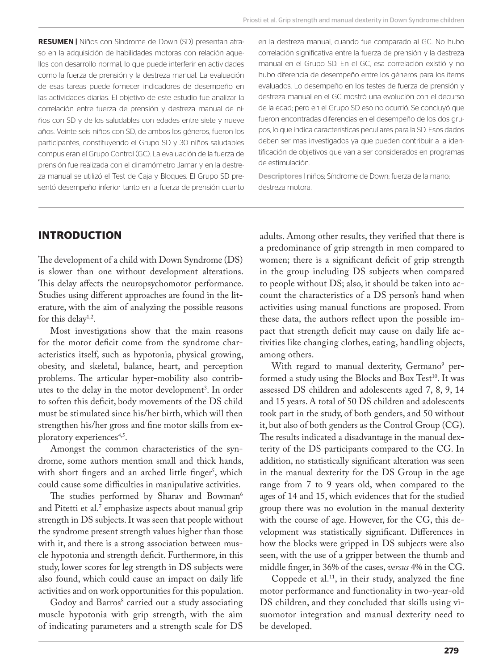RESUMEN | Niños con Síndrome de Down (SD) presentan atraso en la adquisición de habilidades motoras con relación aquellos con desarrollo normal, lo que puede interferir en actividades como la fuerza de prensión y la destreza manual. La evaluación de esas tareas puede fornecer indicadores de desempeño en las actividades diarias. El objetivo de este estudio fue analizar la correlación entre fuerza de prensión y destreza manual de niños con SD y de los saludables con edades entre siete y nueve años. Veinte seis niños con SD, de ambos los géneros, fueron los participantes, constituyendo el Grupo SD y 30 niños saludables compusieran el Grupo Control (GC). La evaluación de la fuerza de prensión fue realizada con el dinamómetro Jamar y en la destreza manual se utilizó el Test de Caja y Bloques. El Grupo SD presentó desempeño inferior tanto en la fuerza de prensión cuanto en la destreza manual, cuando fue comparado al GC. No hubo correlación significativa entre la fuerza de prensión y la destreza manual en el Grupo SD. En el GC, esa correlación existió y no hubo diferencia de desempeño entre los géneros para los ítems evaluados. Lo desempeño en los testes de fuerza de prensión y destreza manual en el GC mostró una evolución con el decurso de la edad; pero en el Grupo SD eso no ocurrió. Se concluyó que fueron encontradas diferencias en el desempeño de los dos grupos, lo que indica características peculiares para la SD. Esos dados deben ser mas investigados ya que pueden contribuir a la identificación de objetivos que van a ser considerados en programas de estimulación.

Descriptores | niños; Síndrome de Down; fuerza de la mano; destreza motora.

## **INTRODUCTION**

The development of a child with Down Syndrome (DS) is slower than one without development alterations. This delay affects the neuropsychomotor performance. Studies using different approaches are found in the literature, with the aim of analyzing the possible reasons for this delay<sup>1,2</sup>.

Most investigations show that the main reasons for the motor deficit come from the syndrome characteristics itself, such as hypotonia, physical growing, obesity, and skeletal, balance, heart, and perception problems. The articular hyper-mobility also contributes to the delay in the motor development<sup>3</sup>. In order to soften this deficit, body movements of the DS child must be stimulated since his/her birth, which will then strengthen his/her gross and fine motor skills from exploratory experiences<sup>4,5</sup>.

Amongst the common characteristics of the syndrome, some authors mention small and thick hands, with short fingers and an arched little finger', which could cause some difficulties in manipulative activities.

The studies performed by Sharav and Bowman<sup>6</sup> and Pitetti et al.<sup>7</sup> emphasize aspects about manual grip strength in DS subjects. It was seen that people without the syndrome present strength values higher than those with it, and there is a strong association between muscle hypotonia and strength deficit. Furthermore, in this study, lower scores for leg strength in DS subjects were also found, which could cause an impact on daily life activities and on work opportunities for this population.

Godoy and Barros8 carried out a study associating muscle hypotonia with grip strength, with the aim of indicating parameters and a strength scale for DS

adults. Among other results, they verified that there is a predominance of grip strength in men compared to women; there is a significant deficit of grip strength in the group including DS subjects when compared to people without DS; also, it should be taken into account the characteristics of a DS person's hand when activities using manual functions are proposed. From these data, the authors reflect upon the possible impact that strength deficit may cause on daily life activities like changing clothes, eating, handling objects, among others.

With regard to manual dexterity, Germano<sup>9</sup> performed a study using the Blocks and Box Test<sup>10</sup>. It was assessed DS children and adolescents aged 7, 8, 9, 14 and 15 years. A total of 50 DS children and adolescents took part in the study, of both genders, and 50 without it, but also of both genders as the Control Group (CG). The results indicated a disadvantage in the manual dexterity of the DS participants compared to the CG. In addition, no statistically significant alteration was seen in the manual dexterity for the DS Group in the age range from 7 to 9 years old, when compared to the ages of 14 and 15, which evidences that for the studied group there was no evolution in the manual dexterity with the course of age. However, for the CG, this development was statistically significant. Differences in how the blocks were gripped in DS subjects were also seen, with the use of a gripper between the thumb and middle finger, in 36% of the cases, *versus* 4% in the CG.

Coppede et al.<sup>11</sup>, in their study, analyzed the fine motor performance and functionality in two-year-old DS children, and they concluded that skills using visuomotor integration and manual dexterity need to be developed.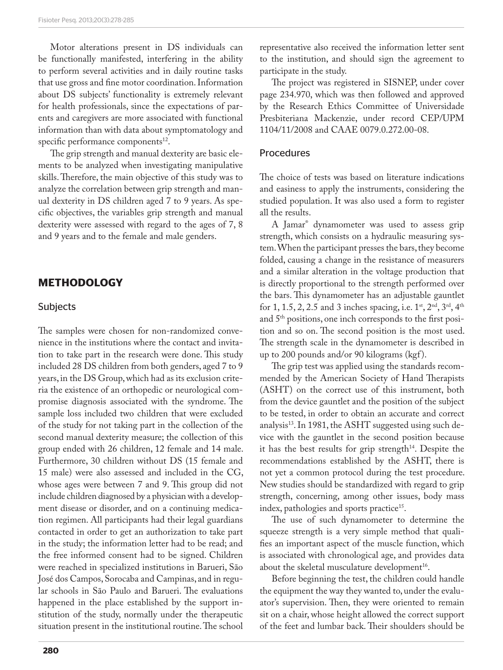Motor alterations present in DS individuals can be functionally manifested, interfering in the ability to perform several activities and in daily routine tasks that use gross and fine motor coordination. Information about DS subjects' functionality is extremely relevant for health professionals, since the expectations of parents and caregivers are more associated with functional information than with data about symptomatology and specific performance components<sup>12</sup>.

The grip strength and manual dexterity are basic elements to be analyzed when investigating manipulative skills. Therefore, the main objective of this study was to analyze the correlation between grip strength and manual dexterity in DS children aged 7 to 9 years. As specific objectives, the variables grip strength and manual dexterity were assessed with regard to the ages of 7, 8 and 9 years and to the female and male genders.

## **METHODOLOGY**

#### Subjects

The samples were chosen for non-randomized convenience in the institutions where the contact and invitation to take part in the research were done. This study included 28 DS children from both genders, aged 7 to 9 years, in the DS Group, which had as its exclusion criteria the existence of an orthopedic or neurological compromise diagnosis associated with the syndrome. The sample loss included two children that were excluded of the study for not taking part in the collection of the second manual dexterity measure; the collection of this group ended with 26 children, 12 female and 14 male. Furthermore, 30 children without DS (15 female and 15 male) were also assessed and included in the CG, whose ages were between 7 and 9. This group did not include children diagnosed by a physician with a development disease or disorder, and on a continuing medication regimen. All participants had their legal guardians contacted in order to get an authorization to take part in the study; the information letter had to be read; and the free informed consent had to be signed. Children were reached in specialized institutions in Barueri, São José dos Campos, Sorocaba and Campinas, and in regular schools in São Paulo and Barueri. The evaluations happened in the place established by the support institution of the study, normally under the therapeutic situation present in the institutional routine. The school

representative also received the information letter sent to the institution, and should sign the agreement to participate in the study.

The project was registered in SISNEP, under cover page 234.970, which was then followed and approved by the Research Ethics Committee of Universidade Presbiteriana Mackenzie, under record CEP/UPM 1104/11/2008 and CAAE 0079.0.272.00-08.

#### Procedures

The choice of tests was based on literature indications and easiness to apply the instruments, considering the studied population. It was also used a form to register all the results.

A Jamar® dynamometer was used to assess grip strength, which consists on a hydraulic measuring system. When the participant presses the bars, they become folded, causing a change in the resistance of measurers and a similar alteration in the voltage production that is directly proportional to the strength performed over the bars. This dynamometer has an adjustable gauntlet for 1, 1.5, 2, 2.5 and 3 inches spacing, i.e.  $1^{st}$ ,  $2^{nd}$ ,  $3^{rd}$ ,  $4^{th}$ and 5<sup>th</sup> positions, one inch corresponds to the first position and so on. The second position is the most used. The strength scale in the dynamometer is described in up to 200 pounds and/or 90 kilograms (kgf).

The grip test was applied using the standards recommended by the American Society of Hand Therapists (ASHT) on the correct use of this instrument, both from the device gauntlet and the position of the subject to be tested, in order to obtain an accurate and correct analysis<sup>13</sup>. In 1981, the ASHT suggested using such device with the gauntlet in the second position because it has the best results for grip strength $14$ . Despite the recommendations established by the ASHT, there is not yet a common protocol during the test procedure. New studies should be standardized with regard to grip strength, concerning, among other issues, body mass index, pathologies and sports practice<sup>15</sup>.

The use of such dynamometer to determine the squeeze strength is a very simple method that qualifies an important aspect of the muscle function, which is associated with chronological age, and provides data about the skeletal musculature development<sup>16</sup>.

Before beginning the test, the children could handle the equipment the way they wanted to, under the evaluator's supervision. Then, they were oriented to remain sit on a chair, whose height allowed the correct support of the feet and lumbar back. Their shoulders should be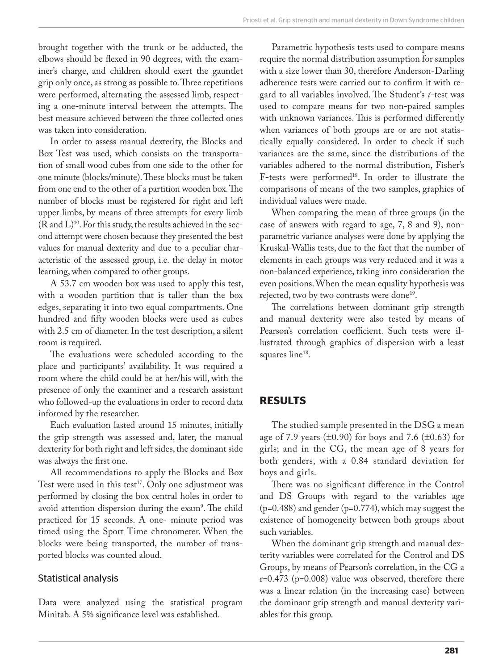brought together with the trunk or be adducted, the elbows should be flexed in 90 degrees, with the examiner's charge, and children should exert the gauntlet grip only once, as strong as possible to. Three repetitions were performed, alternating the assessed limb, respecting a one-minute interval between the attempts. The best measure achieved between the three collected ones was taken into consideration.

In order to assess manual dexterity, the Blocks and Box Test was used, which consists on the transportation of small wood cubes from one side to the other for one minute (blocks/minute). These blocks must be taken from one end to the other of a partition wooden box. The number of blocks must be registered for right and left upper limbs, by means of three attempts for every limb  $(R \text{ and } L)^{10}$ . For this study, the results achieved in the second attempt were chosen because they presented the best values for manual dexterity and due to a peculiar characteristic of the assessed group, i.e. the delay in motor learning, when compared to other groups.

A 53.7 cm wooden box was used to apply this test, with a wooden partition that is taller than the box edges, separating it into two equal compartments. One hundred and fifty wooden blocks were used as cubes with 2.5 cm of diameter. In the test description, a silent room is required.

The evaluations were scheduled according to the place and participants' availability. It was required a room where the child could be at her/his will, with the presence of only the examiner and a research assistant who followed-up the evaluations in order to record data informed by the researcher.

Each evaluation lasted around 15 minutes, initially the grip strength was assessed and, later, the manual dexterity for both right and left sides, the dominant side was always the first one.

All recommendations to apply the Blocks and Box Test were used in this test<sup>17</sup>. Only one adjustment was performed by closing the box central holes in order to avoid attention dispersion during the exam9 . The child practiced for 15 seconds. A one- minute period was timed using the Sport Time chronometer. When the blocks were being transported, the number of transported blocks was counted aloud.

#### Statistical analysis

Data were analyzed using the statistical program Minitab. A 5% significance level was established.

Parametric hypothesis tests used to compare means require the normal distribution assumption for samples with a size lower than 30, therefore Anderson-Darling adherence tests were carried out to confirm it with regard to all variables involved. The Student's *t*-test was used to compare means for two non-paired samples with unknown variances. This is performed differently when variances of both groups are or are not statistically equally considered. In order to check if such variances are the same, since the distributions of the variables adhered to the normal distribution, Fisher's F-tests were performed<sup>18</sup>. In order to illustrate the comparisons of means of the two samples, graphics of individual values were made.

When comparing the mean of three groups (in the case of answers with regard to age, 7, 8 and 9), nonparametric variance analyses were done by applying the Kruskal-Wallis tests, due to the fact that the number of elements in each groups was very reduced and it was a non-balanced experience, taking into consideration the even positions. When the mean equality hypothesis was rejected, two by two contrasts were done<sup>19</sup>.

The correlations between dominant grip strength and manual dexterity were also tested by means of Pearson's correlation coefficient. Such tests were illustrated through graphics of dispersion with a least squares line<sup>18</sup>.

#### **RESULTS**

The studied sample presented in the DSG a mean age of 7.9 years  $(\pm 0.90)$  for boys and 7.6  $(\pm 0.63)$  for girls; and in the CG, the mean age of 8 years for both genders, with a 0.84 standard deviation for boys and girls.

There was no significant difference in the Control and DS Groups with regard to the variables age  $(p=0.488)$  and gender  $(p=0.774)$ , which may suggest the existence of homogeneity between both groups about such variables.

When the dominant grip strength and manual dexterity variables were correlated for the Control and DS Groups, by means of Pearson's correlation, in the CG a r=0.473 (p=0.008) value was observed, therefore there was a linear relation (in the increasing case) between the dominant grip strength and manual dexterity variables for this group.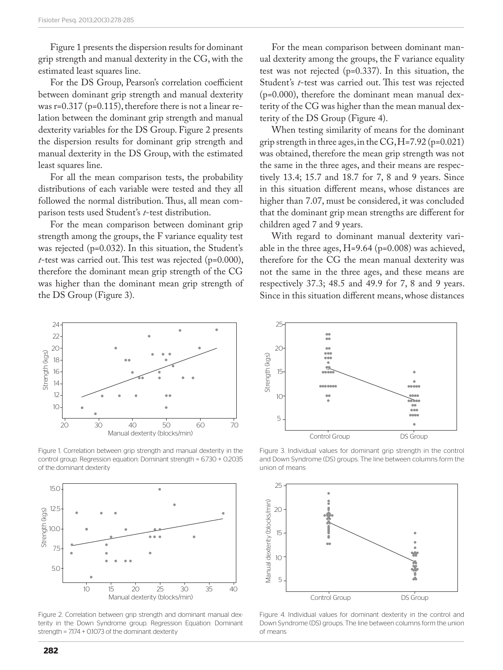Figure 1 presents the dispersion results for dominant grip strength and manual dexterity in the CG, with the estimated least squares line.

For the DS Group, Pearson's correlation coefficient between dominant grip strength and manual dexterity was  $r=0.317$  ( $p=0.115$ ), therefore there is not a linear relation between the dominant grip strength and manual dexterity variables for the DS Group. Figure 2 presents the dispersion results for dominant grip strength and manual dexterity in the DS Group, with the estimated least squares line.

For all the mean comparison tests, the probability distributions of each variable were tested and they all followed the normal distribution. Thus, all mean comparison tests used Student's *t*-test distribution.

For the mean comparison between dominant grip strength among the groups, the F variance equality test was rejected (p=0.032). In this situation, the Student's *t*-test was carried out. This test was rejected (p=0.000), therefore the dominant mean grip strength of the CG was higher than the dominant mean grip strength of the DS Group (Figure 3).

For the mean comparison between dominant manual dexterity among the groups, the F variance equality test was not rejected (p=0.337). In this situation, the Student's *t*-test was carried out. This test was rejected (p=0.000), therefore the dominant mean manual dexterity of the CG was higher than the mean manual dexterity of the DS Group (Figure 4).

When testing similarity of means for the dominant grip strength in three ages, in the CG, H=7.92 (p=0.021) was obtained, therefore the mean grip strength was not the same in the three ages, and their means are respectively 13.4; 15.7 and 18.7 for 7, 8 and 9 years. Since in this situation different means, whose distances are higher than 7.07, must be considered, it was concluded that the dominant grip mean strengths are different for children aged 7 and 9 years.

With regard to dominant manual dexterity variable in the three ages,  $H=9.64$  (p=0.008) was achieved, therefore for the CG the mean manual dexterity was not the same in the three ages, and these means are respectively 37.3; 48.5 and 49.9 for 7, 8 and 9 years. Since in this situation different means, whose distances



Figure 1. Correlation between grip strength and manual dexterity in the control group. Regression equation: Dominant strength = 6.730 + 0.2035 of the dominant dexterity



Figure 2. Correlation between grip strength and dominant manual dexterity in the Down Syndrome group. Regression Equation: Dominant strength = 7.174 + 0.1073 of the dominant dexterity



Figure 3. Individual values for dominant grip strength in the control and Down Syndrome (DS) groups. The line between columns form the



Figure 4. Individual values for dominant dexterity in the control and Down Syndrome (DS) groups. The line between columns form the union of means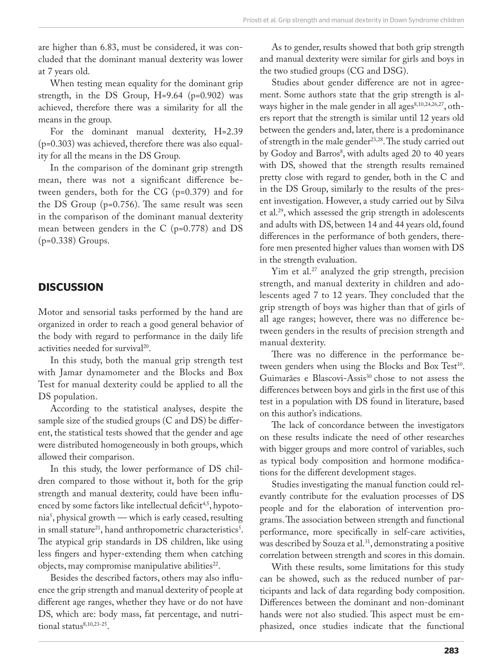are higher than 6.83, must be considered, it was concluded that the dominant manual dexterity was lower at 7 years old.

When testing mean equality for the dominant grip strength, in the DS Group,  $H=9.64$  (p=0.902) was achieved, therefore there was a similarity for all the means in the group.

For the dominant manual dexterity, H=2.39 (p=0.303) was achieved, therefore there was also equality for all the means in the DS Group.

In the comparison of the dominant grip strength mean, there was not a significant difference between genders, both for the CG (p=0.379) and for the DS Group (p=0.756). The same result was seen in the comparison of the dominant manual dexterity mean between genders in the C (p=0.778) and DS (p=0.338) Groups.

### **DISCUSSION**

Motor and sensorial tasks performed by the hand are organized in order to reach a good general behavior of the body with regard to performance in the daily life activities needed for survival<sup>20</sup>.

In this study, both the manual grip strength test with Jamar dynamometer and the Blocks and Box Test for manual dexterity could be applied to all the DS population.

According to the statistical analyses, despite the sample size of the studied groups (C and DS) be different, the statistical tests showed that the gender and age were distributed homogeneously in both groups, which allowed their comparison.

In this study, the lower performance of DS children compared to those without it, both for the grip strength and manual dexterity, could have been influenced by some factors like intellectual deficit<sup>4,5</sup>, hypotonia5 , physical growth — which is early ceased, resulting in small stature<sup>21</sup>, hand anthropometric characteristics<sup>5</sup>. The atypical grip standards in DS children, like using less fingers and hyper-extending them when catching objects, may compromise manipulative abilities<sup>22</sup>.

Besides the described factors, others may also influence the grip strength and manual dexterity of people at different age ranges, whether they have or do not have DS, which are: body mass, fat percentage, and nutritional status<sup>8,10,23-25</sup>.

As to gender, results showed that both grip strength and manual dexterity were similar for girls and boys in the two studied groups (CG and DSG).

Studies about gender difference are not in agreement. Some authors state that the grip strength is always higher in the male gender in all ages $8,10,24,26,27$ , others report that the strength is similar until 12 years old between the genders and, later, there is a predominance of strength in the male gender<sup>23,28</sup>. The study carried out by Godoy and Barros<sup>8</sup>, with adults aged 20 to 40 years with DS, showed that the strength results remained pretty close with regard to gender, both in the C and in the DS Group, similarly to the results of the present investigation. However, a study carried out by Silva et al.29, which assessed the grip strength in adolescents and adults with DS, between 14 and 44 years old, found differences in the performance of both genders, therefore men presented higher values than women with DS in the strength evaluation.

Yim et al.<sup>27</sup> analyzed the grip strength, precision strength, and manual dexterity in children and adolescents aged 7 to 12 years. They concluded that the grip strength of boys was higher than that of girls of all age ranges; however, there was no difference between genders in the results of precision strength and manual dexterity.

There was no difference in the performance between genders when using the Blocks and Box Test<sup>10</sup>. Guimarães e Blascovi-Assis<sup>30</sup> chose to not assess the differences between boys and girls in the first use of this test in a population with DS found in literature, based on this author's indications.

The lack of concordance between the investigators on these results indicate the need of other researches with bigger groups and more control of variables, such as typical body composition and hormone modifications for the different development stages.

Studies investigating the manual function could relevantly contribute for the evaluation processes of DS people and for the elaboration of intervention programs. The association between strength and functional performance, more specifically in self-care activities, was described by Souza et al.<sup>31</sup>, demonstrating a positive correlation between strength and scores in this domain.

With these results, some limitations for this study can be showed, such as the reduced number of participants and lack of data regarding body composition. Differences between the dominant and non-dominant hands were not also studied. This aspect must be emphasized, once studies indicate that the functional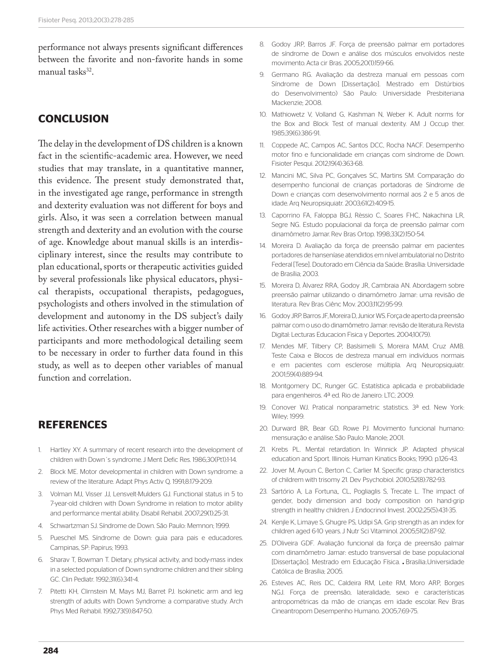performance not always presents significant differences between the favorite and non-favorite hands in some manual tasks<sup>32</sup>.

# **CONCLUSION**

The delay in the development of DS children is a known fact in the scientific-academic area. However, we need studies that may translate, in a quantitative manner, this evidence. The present study demonstrated that, in the investigated age range, performance in strength and dexterity evaluation was not different for boys and girls. Also, it was seen a correlation between manual strength and dexterity and an evolution with the course of age. Knowledge about manual skills is an interdisciplinary interest, since the results may contribute to plan educational, sports or therapeutic activities guided by several professionals like physical educators, physical therapists, occupational therapists, pedagogues, psychologists and others involved in the stimulation of development and autonomy in the DS subject's daily life activities. Other researches with a bigger number of participants and more methodological detailing seem to be necessary in order to further data found in this study, as well as to deepen other variables of manual function and correlation.

## **REFERENCES**

- 1. Hartley XY. A summary of recent research into the development of children with Down´s syndrome. J Ment Defic Res. 1986;30(Pt1):1-14.
- 2. Block ME. Motor developmental in children with Down syndrome: a review of the literature. Adapt Phys Activ Q. 1991;8:179-209.
- 3. Volman MJ, Visser JJ, Lensvelt-Mulders GJ. Functional status in 5 to 7-year-old children with Down Syndrome in relation to motor ability and performance mental ability. Disabil Rehabil. 2007;29(1):25-31.
- 4. Schwartzman SJ. Síndrome de Down. São Paulo: Memnon; 1999.
- 5. Pueschel MS. Síndrome de Down: guia para pais e educadores. Campinas, SP: Papirus; 1993.
- 6. Sharav T, Bowman T. Dietary, physical activity, and body-mass index in a selected population of Down syndrome children and their sibling GC. Clin Pediatr. 1992;31(6):341-4.
- 7. Pitetti KH, Clirnstein M, Mays MJ, Barret PJ. Isokinetic arm and leg strength of adults with Down Syndrome: a comparative study. Arch Phys Med Rehabil. 1992;73(9):847-50.
- 8. Godoy JRP, Barros JF. Força de preensão palmar em portadores de síndrome de Down e análise dos músculos envolvidos neste movimento. Acta cir Bras. 2005;20(1):159-66.
- 9. Germano RG. Avaliação da destreza manual em pessoas com Síndrome de Down [Dissertação]. Mestrado em Distúrbios do Desenvolvimento) São Paulo: Universidade Presbiteriana Mackenzie; 2008.
- 10. Mathiowetz V, Volland G, Kashman N, Weber K. Adult norms for the Box and Block Test of manual dexterity. AM J Occup ther. 1985;39(6):386-91.
- 11. Coppede AC, Campos AC, Santos DCC, Rocha NACF. Desempenho motor fino e funcionalidade em crianças com síndrome de Down. Fisioter Pesqui. 2012;19(4):363-68.
- 12. Mancini MC, Silva PC, Gonçalves SC, Martins SM. Comparação do desempenho funcional de crianças portadoras de Síndrome de Down e crianças com desenvolvimento normal aos 2 e 5 anos de idade. Arq Neuropsiquiatr. 2003;61(2):409-15.
- 13. Caporrino FA, Faloppa BGJ, Rèssio C, Soares FHC, Nakachina LR, Segre NG. Estudo populacional da força de preensão palmar com dinamômetro Jamar. Rev Bras Ortop. 1998;33(2):150-54.
- 14. Moreira D. Avaliação da força de preensão palmar em pacientes portadores de hanseníase atendidos em nível ambulatorial no Distrito Federal[Tese]. Doutorado em Ciência da Saúde. Brasília: Universidade de Brasília; 2003.
- 15. Moreira D, Àlvarez RRA, Godoy JR, Cambraia AN. Abordagem sobre preensão palmar utilizando o dinamômetro Jamar: uma revisão de literatura. Rev Bras Ciênc Mov. 2003;11(2):95-99.
- 16. Godoy JRP. Barros JF, Moreira D, Junior WS. Força de aperto da preensão palmar com o uso do dinamômetro Jamar: revisão de literatura.Revista Digital: Lecturas Educacion Fisica y Deportes. 2004;10(79).
- 17. Mendes MF, Tilbery CP, Baslsimelli S, Moreira MAM, Cruz AMB. Teste Caixa e Blocos de destreza manual em indivíduos normais e em pacientes com esclerose múltipla. Arq Neuropsiquiatr. 2001;59(4):889-94.
- 18. Montgomery DC, Runger GC. Estatística aplicada e probabilidade para engenheiros. 4ª ed. Rio de Janeiro: LTC; 2009.
- 19. Conover WJ. Pratical nonparametric statistics. 3ª ed. New York: Wiley; 1999.
- 20. Durward BR, Bear GD, Rowe PJ. Movimento funcional humano: mensuração e análise. São Paulo: Manole; 2001.
- 21. Krebs PL. Mental retardation. In: Winnick JP. Adapted physical education and Sport. Illinois: Human Kinatics Books; 1990. p.126-43.
- 22. Jover M, Ayoun C, Berton C, Carlier M. Specific grasp characteristics of childrem with trisomy 21. Dev Psychobiol. 2010;52(8):782-93.
- 23. Sartório A, La Fortuna,, CL, Pogliaglis S, Trecate L. The impact of gender, body dimension and body composition on hand-grip strength in healthy children. J Endocrinol Invest. 2002;25(5):431-35.
- 24. Kenjle K, Limaye S, Ghugre PS, Udipi SA. Grip strength as an index for children aged 6-10 years. J Nutr Sci Vitaminol. 2005;51(2):87-92.
- 25. D'Oliveira GDF. Avaliação funcional da força de preensão palmar com dinamômetro Jamar: estudo transversal de base populacional [Dissertação]. Mestrado em Educação Física. **.** Brasília:.Universidade Católica de Brasília; 2005.
- 26. Esteves AC, Reis DC, Caldeira RM, Leite RM, Moro ARP, Borges NGJ. Força de preensão, lateralidade, sexo e características antropométricas da mão de crianças em idade escolar. Rev Bras Cineantropom Desempenho Humano. 2005;7:69-75.